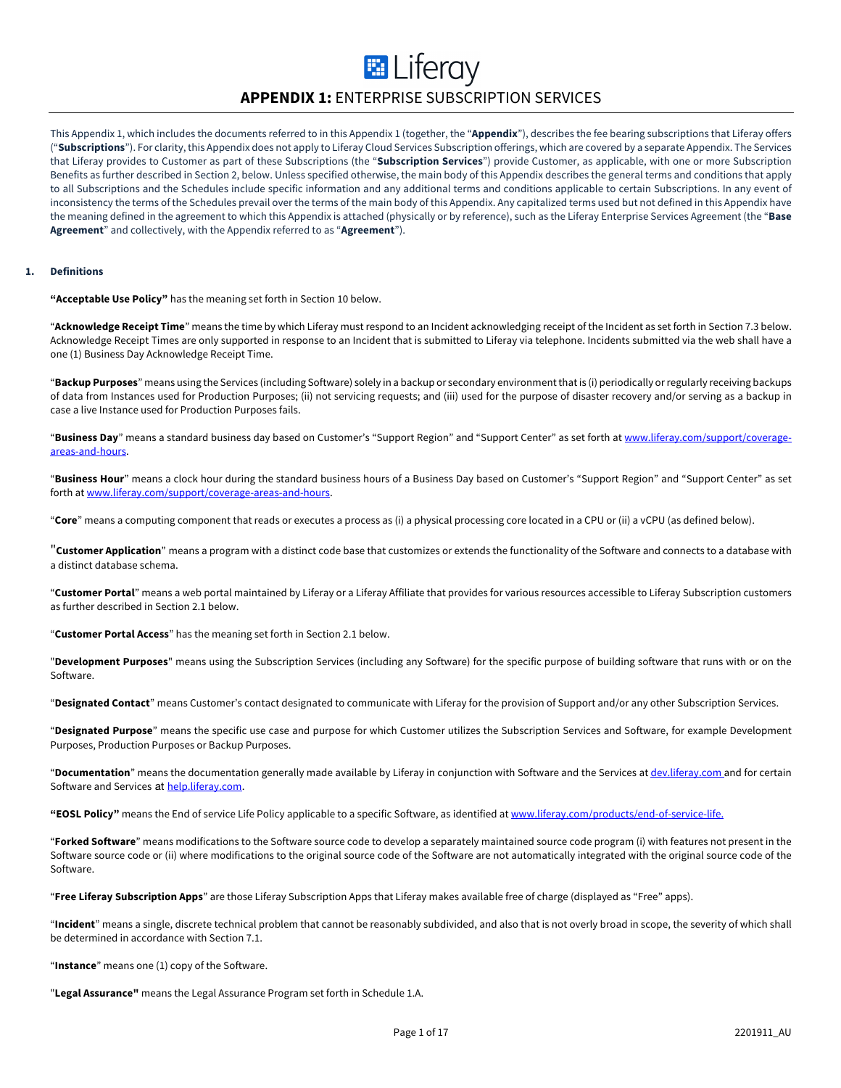# **E** Liferay **APPENDIX 1:** ENTERPRISE SUBSCRIPTION SERVICES

This Appendix 1, which includes the documents referred to in this Appendix 1 (together, the "**Appendix**"), describes the fee bearing subscriptions that Liferay offers ("**Subscriptions**"). For clarity, this Appendix does not apply to Liferay Cloud Services Subscription offerings, which are covered by a separate Appendix. The Services that Liferay provides to Customer as part of these Subscriptions (the "**Subscription Services**") provide Customer, as applicable, with one or more Subscription Benefits as further described in Section 2, below. Unless specified otherwise, the main body of this Appendix describes the general terms and conditions that apply to all Subscriptions and the Schedules include specific information and any additional terms and conditions applicable to certain Subscriptions. In any event of inconsistency the terms of the Schedules prevail over the terms of the main body of this Appendix. Any capitalized terms used but not defined in this Appendix have the meaning defined in the agreement to which this Appendix is attached (physically or by reference), such as the Liferay Enterprise Services Agreement (the "**Base Agreement**" and collectively, with the Appendix referred to as "**Agreement**").

#### **1. Definitions**

**"Acceptable Use Policy"** has the meaning set forth in Section 10 below.

"**Acknowledge Receipt Time**" means the time by which Liferay must respond to an Incident acknowledging receipt of the Incident as set forth in Section 7.3 below. Acknowledge Receipt Times are only supported in response to an Incident that is submitted to Liferay via telephone. Incidents submitted via the web shall have a one (1) Business Day Acknowledge Receipt Time.

"**Backup Purposes**" means using the Services (including Software) solely in a backup or secondary environment that is (i) periodically or regularly receiving backups of data from Instances used for Production Purposes; (ii) not servicing requests; and (iii) used for the purpose of disaster recovery and/or serving as a backup in case a live Instance used for Production Purposes fails.

"**Business Day**" means a standard business day based on Customer's "Support Region" and "Support Center" as set forth at www.liferay.com/support/coverageareas-and-hours.

"**Business Hour**" means a clock hour during the standard business hours of a Business Day based on Customer's "Support Region" and "Support Center" as set forth at www.liferay.com/support/coverage-areas-and-hours.

"**Core**" means a computing component that reads or executes a process as (i) a physical processing core located in a CPU or (ii) a vCPU (as defined below).

"**Customer Application**" means a program with a distinct code base that customizes or extends the functionality of the Software and connects to a database with a distinct database schema.

"**Customer Portal**" means a web portal maintained by Liferay or a Liferay Affiliate that provides for various resources accessible to Liferay Subscription customers as further described in Section 2.1 below.

"**Customer Portal Access**" has the meaning set forth in Section 2.1 below.

"**Development Purposes**" means using the Subscription Services (including any Software) for the specific purpose of building software that runs with or on the Software.

"**Designated Contact**" means Customer's contact designated to communicate with Liferay for the provision of Support and/or any other Subscription Services.

"**Designated Purpose**" means the specific use case and purpose for which Customer utilizes the Subscription Services and Software, for example Development Purposes, Production Purposes or Backup Purposes.

"**Documentation**" means the documentation generally made available by Liferay in conjunction with Software and the Services at dev.liferay.com and for certain Software and Services at help.liferay.com.

**"EOSL Policy"** means the End of service Life Policy applicable to a specific Software, as identified at www.liferay.com/products/end-of-service-life.

"**Forked Software**" means modifications to the Software source code to develop a separately maintained source code program (i) with features not present in the Software source code or (ii) where modifications to the original source code of the Software are not automatically integrated with the original source code of the Software.

"**Free Liferay Subscription Apps**" are those Liferay Subscription Apps that Liferay makes available free of charge (displayed as "Free" apps).

"**Incident**" means a single, discrete technical problem that cannot be reasonably subdivided, and also that is not overly broad in scope, the severity of which shall be determined in accordance with Section 7.1.

"**Instance**" means one (1) copy of the Software.

"**Legal Assurance"** means the Legal Assurance Program set forth in Schedule 1.A.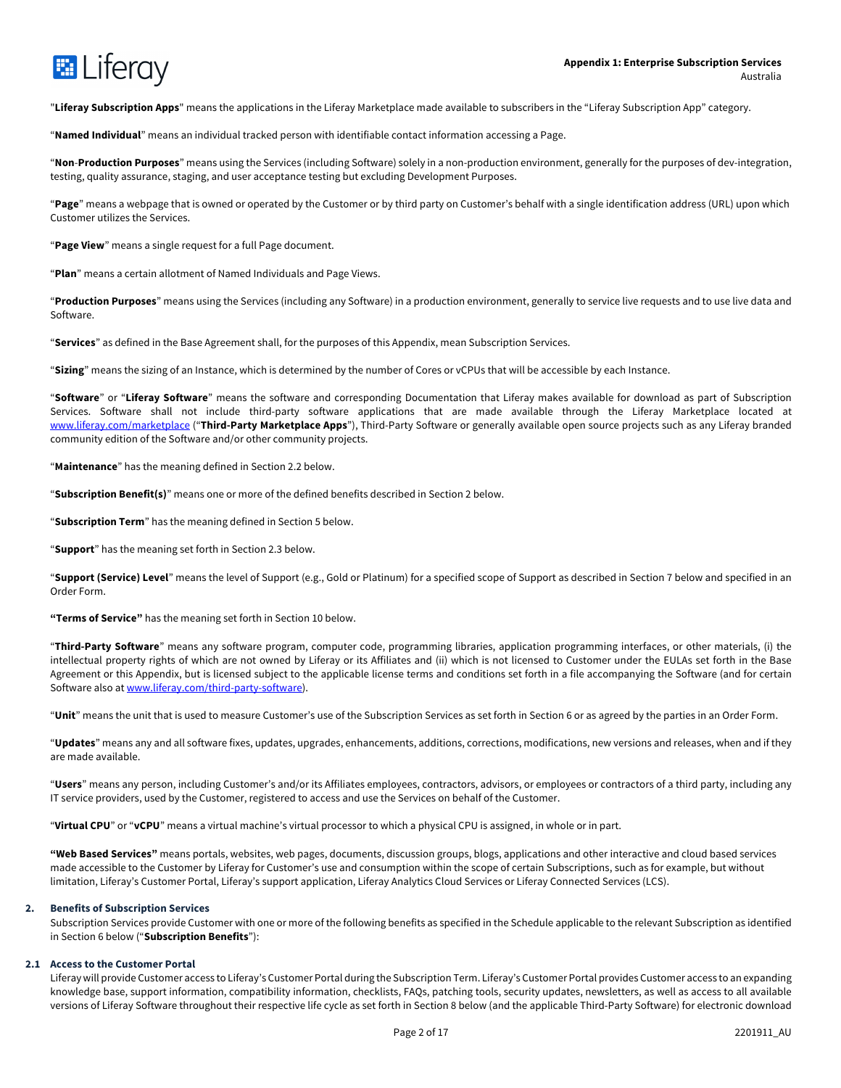

"**Liferay Subscription Apps**" means the applications in the Liferay Marketplace made available to subscribers in the "Liferay Subscription App" category.

"**Named Individual**" means an individual tracked person with identifiable contact information accessing a Page.

"**Non**-**Production Purposes**" means using the Services (including Software) solely in a non-production environment, generally for the purposes of dev-integration, testing, quality assurance, staging, and user acceptance testing but excluding Development Purposes.

"**Page**" means a webpage that is owned or operated by the Customer or by third party on Customer's behalf with a single identification address (URL) upon which Customer utilizes the Services.

"**Page View**" means a single request for a full Page document.

"**Plan**" means a certain allotment of Named Individuals and Page Views.

"**Production Purposes**" means using the Services (including any Software) in a production environment, generally to service live requests and to use live data and Software.

"**Services**" as defined in the Base Agreement shall, for the purposes of this Appendix, mean Subscription Services.

"**Sizing**" means the sizing of an Instance, which is determined by the number of Cores or vCPUs that will be accessible by each Instance.

"**Software**" or "**Liferay Software**" means the software and corresponding Documentation that Liferay makes available for download as part of Subscription Services. Software shall not include third-party software applications that are made available through the Liferay Marketplace located at www.liferay.com/marketplace ("**Third-Party Marketplace Apps**"), Third-Party Software or generally available open source projects such as any Liferay branded community edition of the Software and/or other community projects.

"**Maintenance**" has the meaning defined in Section 2.2 below.

"**Subscription Benefit(s)**" means one or more of the defined benefits described in Section 2 below.

"**Subscription Term**" has the meaning defined in Section 5 below.

"**Support**" has the meaning set forth in Section 2.3 below.

"**Support (Service) Level**" means the level of Support (e.g., Gold or Platinum) for a specified scope of Support as described in Section 7 below and specified in an Order Form.

**"Terms of Service"** has the meaning set forth in Section 10 below.

"**Third-Party Software**" means any software program, computer code, programming libraries, application programming interfaces, or other materials, (i) the intellectual property rights of which are not owned by Liferay or its Affiliates and (ii) which is not licensed to Customer under the EULAs set forth in the Base Agreement or this Appendix, but is licensed subject to the applicable license terms and conditions set forth in a file accompanying the Software (and for certain Software also at www.liferay.com/third-party-software).

"**Unit**" means the unit that is used to measure Customer's use of the Subscription Services as set forth in Section 6 or as agreed by the parties in an Order Form.

"**Updates**" means any and all software fixes, updates, upgrades, enhancements, additions, corrections, modifications, new versions and releases, when and if they are made available.

"**Users**" means any person, including Customer's and/or its Affiliates employees, contractors, advisors, or employees or contractors of a third party, including any IT service providers, used by the Customer, registered to access and use the Services on behalf of the Customer.

"**Virtual CPU**" or "**vCPU**" means a virtual machine's virtual processor to which a physical CPU is assigned, in whole or in part.

**"Web Based Services"** means portals, websites, web pages, documents, discussion groups, blogs, applications and other interactive and cloud based services made accessible to the Customer by Liferay for Customer's use and consumption within the scope of certain Subscriptions, such as for example, but without limitation, Liferay's Customer Portal, Liferay's support application, Liferay Analytics Cloud Services or Liferay Connected Services (LCS).

#### **2. Benefits of Subscription Services**

Subscription Services provide Customer with one or more of the following benefits as specified in the Schedule applicable to the relevant Subscription as identified in Section 6 below ("**Subscription Benefits**"):

#### **2.1 Access to the Customer Portal**

Liferay will provide Customer access to Liferay's Customer Portal during the Subscription Term. Liferay's Customer Portal provides Customer access to an expanding knowledge base, support information, compatibility information, checklists, FAQs, patching tools, security updates, newsletters, as well as access to all available versions of Liferay Software throughout their respective life cycle as set forth in Section 8 below (and the applicable Third-Party Software) for electronic download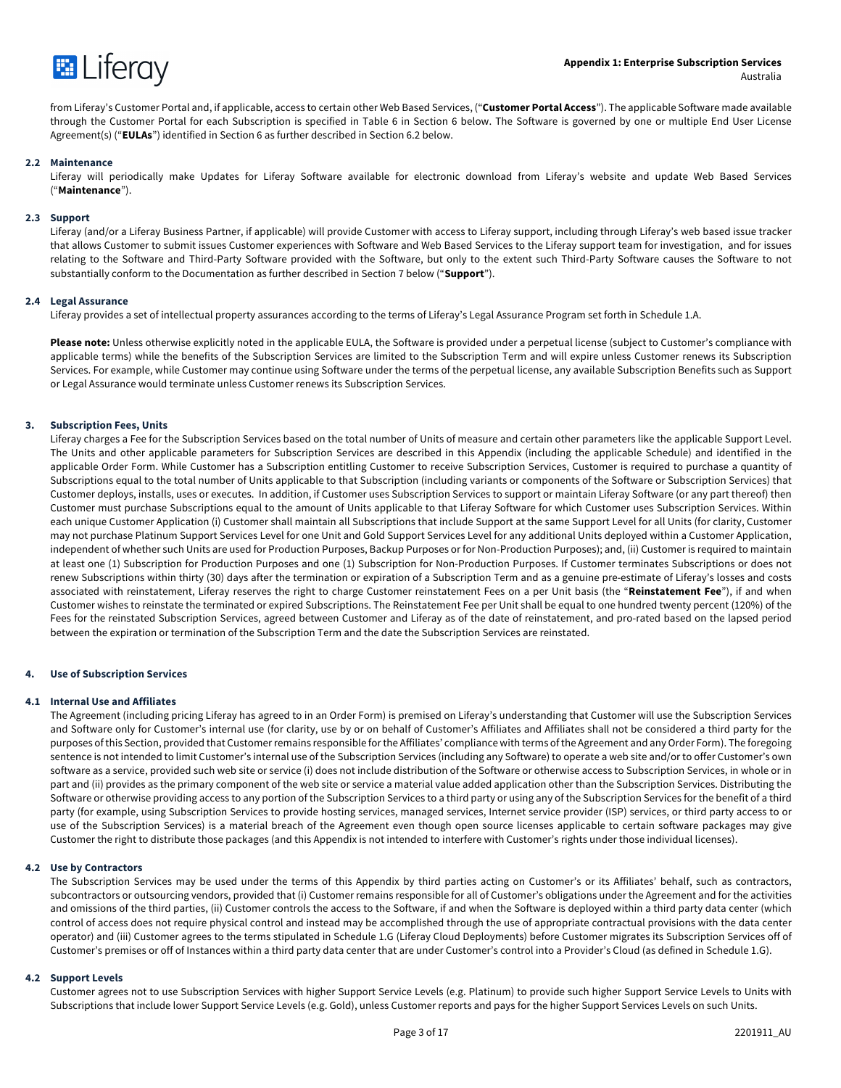

from Liferay's Customer Portal and, if applicable, access to certain other Web Based Services, ("**Customer Portal Access**"). The applicable Software made available through the Customer Portal for each Subscription is specified in Table 6 in Section 6 below. The Software is governed by one or multiple End User License Agreement(s) ("**EULAs**") identified in Section 6 as further described in Section 6.2 below.

#### **2.2 Maintenance**

Liferay will periodically make Updates for Liferay Software available for electronic download from Liferay's website and update Web Based Services ("**Maintenance**").

#### **2.3 Support**

Liferay (and/or a Liferay Business Partner, if applicable) will provide Customer with access to Liferay support, including through Liferay's web based issue tracker that allows Customer to submit issues Customer experiences with Software and Web Based Services to the Liferay support team for investigation, and for issues relating to the Software and Third-Party Software provided with the Software, but only to the extent such Third-Party Software causes the Software to not substantially conform to the Documentation as further described in Section 7 below ("**Support**").

#### **2.4 Legal Assurance**

Liferay provides a set of intellectual property assurances according to the terms of Liferay's Legal Assurance Program set forth in Schedule 1.A.

**Please note:** Unless otherwise explicitly noted in the applicable EULA, the Software is provided under a perpetual license (subject to Customer's compliance with applicable terms) while the benefits of the Subscription Services are limited to the Subscription Term and will expire unless Customer renews its Subscription Services. For example, while Customer may continue using Software under the terms of the perpetual license, any available Subscription Benefits such as Support or Legal Assurance would terminate unless Customer renews its Subscription Services.

#### **3. Subscription Fees, Units**

Liferay charges a Fee for the Subscription Services based on the total number of Units of measure and certain other parameters like the applicable Support Level. The Units and other applicable parameters for Subscription Services are described in this Appendix (including the applicable Schedule) and identified in the applicable Order Form. While Customer has a Subscription entitling Customer to receive Subscription Services, Customer is required to purchase a quantity of Subscriptions equal to the total number of Units applicable to that Subscription (including variants or components of the Software or Subscription Services) that Customer deploys, installs, uses or executes. In addition, if Customer uses Subscription Services to support or maintain Liferay Software (or any part thereof) then Customer must purchase Subscriptions equal to the amount of Units applicable to that Liferay Software for which Customer uses Subscription Services. Within each unique Customer Application (i) Customer shall maintain all Subscriptions that include Support at the same Support Level for all Units (for clarity, Customer may not purchase Platinum Support Services Level for one Unit and Gold Support Services Level for any additional Units deployed within a Customer Application, independent of whether such Units are used for Production Purposes, Backup Purposes or for Non-Production Purposes); and, (ii) Customer is required to maintain at least one (1) Subscription for Production Purposes and one (1) Subscription for Non-Production Purposes. If Customer terminates Subscriptions or does not renew Subscriptions within thirty (30) days after the termination or expiration of a Subscription Term and as a genuine pre-estimate of Liferay's losses and costs associated with reinstatement, Liferay reserves the right to charge Customer reinstatement Fees on a per Unit basis (the "**Reinstatement Fee**"), if and when Customer wishes to reinstate the terminated or expired Subscriptions. The Reinstatement Fee per Unit shall be equal to one hundred twenty percent (120%) of the Fees for the reinstated Subscription Services, agreed between Customer and Liferay as of the date of reinstatement, and pro-rated based on the lapsed period between the expiration or termination of the Subscription Term and the date the Subscription Services are reinstated.

#### **4. Use of Subscription Services**

#### **4.1 Internal Use and Affiliates**

The Agreement (including pricing Liferay has agreed to in an Order Form) is premised on Liferay's understanding that Customer will use the Subscription Services and Software only for Customer's internal use (for clarity, use by or on behalf of Customer's Affiliates and Affiliates shall not be considered a third party for the purposes of this Section, provided that Customer remains responsible for the Affiliates' compliance with terms of the Agreement and any Order Form). The foregoing sentence is not intended to limit Customer's internal use of the Subscription Services (including any Software) to operate a web site and/or to offer Customer's own software as a service, provided such web site or service (i) does not include distribution of the Software or otherwise access to Subscription Services, in whole or in part and (ii) provides as the primary component of the web site or service a material value added application other than the Subscription Services. Distributing the Software or otherwise providing access to any portion of the Subscription Services to a third party or using any of the Subscription Services for the benefit of a third party (for example, using Subscription Services to provide hosting services, managed services, Internet service provider (ISP) services, or third party access to or use of the Subscription Services) is a material breach of the Agreement even though open source licenses applicable to certain software packages may give Customer the right to distribute those packages (and this Appendix is not intended to interfere with Customer's rights under those individual licenses).

#### **4.2 Use by Contractors**

The Subscription Services may be used under the terms of this Appendix by third parties acting on Customer's or its Affiliates' behalf, such as contractors, subcontractors or outsourcing vendors, provided that (i) Customer remains responsible for all of Customer's obligations under the Agreement and for the activities and omissions of the third parties, (ii) Customer controls the access to the Software, if and when the Software is deployed within a third party data center (which control of access does not require physical control and instead may be accomplished through the use of appropriate contractual provisions with the data center operator) and (iii) Customer agrees to the terms stipulated in Schedule 1.G (Liferay Cloud Deployments) before Customer migrates its Subscription Services off of Customer's premises or off of Instances within a third party data center that are under Customer's control into a Provider's Cloud (as defined in Schedule 1.G).

#### **4.2 Support Levels**

Customer agrees not to use Subscription Services with higher Support Service Levels (e.g. Platinum) to provide such higher Support Service Levels to Units with Subscriptions that include lower Support Service Levels (e.g. Gold), unless Customer reports and pays for the higher Support Services Levels on such Units.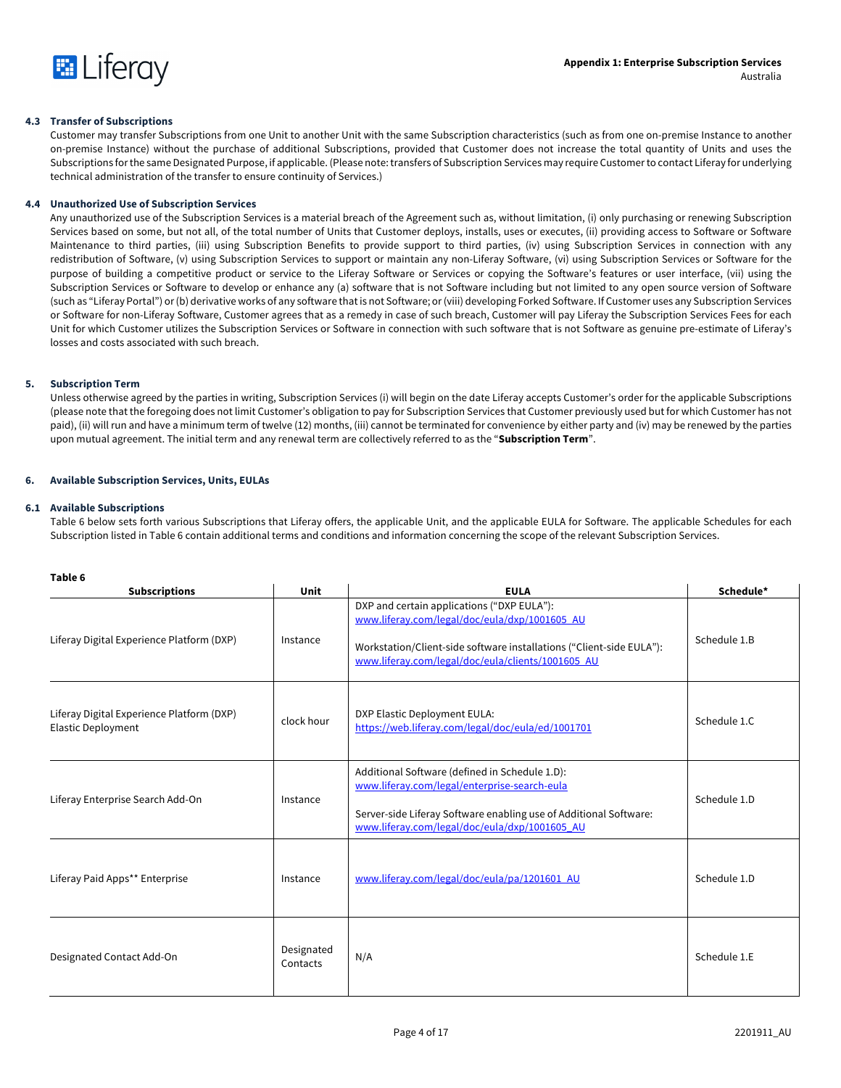

# **4.3 Transfer of Subscriptions**

Customer may transfer Subscriptions from one Unit to another Unit with the same Subscription characteristics (such as from one on-premise Instance to another on-premise Instance) without the purchase of additional Subscriptions, provided that Customer does not increase the total quantity of Units and uses the Subscriptions for the same Designated Purpose, if applicable. (Please note: transfers of Subscription Services may require Customer to contact Liferay for underlying technical administration of the transfer to ensure continuity of Services.)

# **4.4 Unauthorized Use of Subscription Services**

Any unauthorized use of the Subscription Services is a material breach of the Agreement such as, without limitation, (i) only purchasing or renewing Subscription Services based on some, but not all, of the total number of Units that Customer deploys, installs, uses or executes, (ii) providing access to Software or Software Maintenance to third parties, (iii) using Subscription Benefits to provide support to third parties, (iv) using Subscription Services in connection with any redistribution of Software, (v) using Subscription Services to support or maintain any non-Liferay Software, (vi) using Subscription Services or Software for the purpose of building a competitive product or service to the Liferay Software or Services or copying the Software's features or user interface, (vii) using the Subscription Services or Software to develop or enhance any (a) software that is not Software including but not limited to any open source version of Software (such as "Liferay Portal") or (b) derivative works of any software that is not Software; or (viii) developing Forked Software. If Customer uses any Subscription Services or Software for non-Liferay Software, Customer agrees that as a remedy in case of such breach, Customer will pay Liferay the Subscription Services Fees for each Unit for which Customer utilizes the Subscription Services or Software in connection with such software that is not Software as genuine pre-estimate of Liferay's losses and costs associated with such breach.

# **5. Subscription Term**

Unless otherwise agreed by the parties in writing, Subscription Services (i) will begin on the date Liferay accepts Customer's order for the applicable Subscriptions (please note that the foregoing does not limit Customer's obligation to pay for Subscription Services that Customer previously used but for which Customer has not paid), (ii) will run and have a minimum term of twelve (12) months, (iii) cannot be terminated for convenience by either party and (iv) may be renewed by the parties upon mutual agreement. The initial term and any renewal term are collectively referred to as the "**Subscription Term**".

# **6. Available Subscription Services, Units, EULAs**

# **6.1 Available Subscriptions**

Table 6 below sets forth various Subscriptions that Liferay offers, the applicable Unit, and the applicable EULA for Software. The applicable Schedules for each Subscription listed in Table 6 contain additional terms and conditions and information concerning the scope of the relevant Subscription Services.

| <br>۰,<br>×<br>۰,<br>×<br>۰, |
|------------------------------|
|------------------------------|

| <b>Subscriptions</b>                                                   | Unit                   | <b>EULA</b>                                                                                                                                                                                                              | Schedule*    |
|------------------------------------------------------------------------|------------------------|--------------------------------------------------------------------------------------------------------------------------------------------------------------------------------------------------------------------------|--------------|
| Liferay Digital Experience Platform (DXP)                              | Instance               | DXP and certain applications ("DXP EULA"):<br>www.liferay.com/legal/doc/eula/dxp/1001605_AU<br>Workstation/Client-side software installations ("Client-side EULA"):<br>www.liferay.com/legal/doc/eula/clients/1001605_AU | Schedule 1.B |
| Liferay Digital Experience Platform (DXP)<br><b>Elastic Deployment</b> | clock hour             | DXP Elastic Deployment EULA:<br>https://web.liferay.com/legal/doc/eula/ed/1001701                                                                                                                                        | Schedule 1.C |
| Liferay Enterprise Search Add-On                                       | Instance               | Additional Software (defined in Schedule 1.D):<br>www.liferay.com/legal/enterprise-search-eula<br>Server-side Liferay Software enabling use of Additional Software:<br>www.liferay.com/legal/doc/eula/dxp/1001605_AU     | Schedule 1.D |
| Liferay Paid Apps** Enterprise                                         | Instance               | www.liferay.com/legal/doc/eula/pa/1201601_AU                                                                                                                                                                             | Schedule 1.D |
| Designated Contact Add-On                                              | Designated<br>Contacts | N/A                                                                                                                                                                                                                      | Schedule 1.E |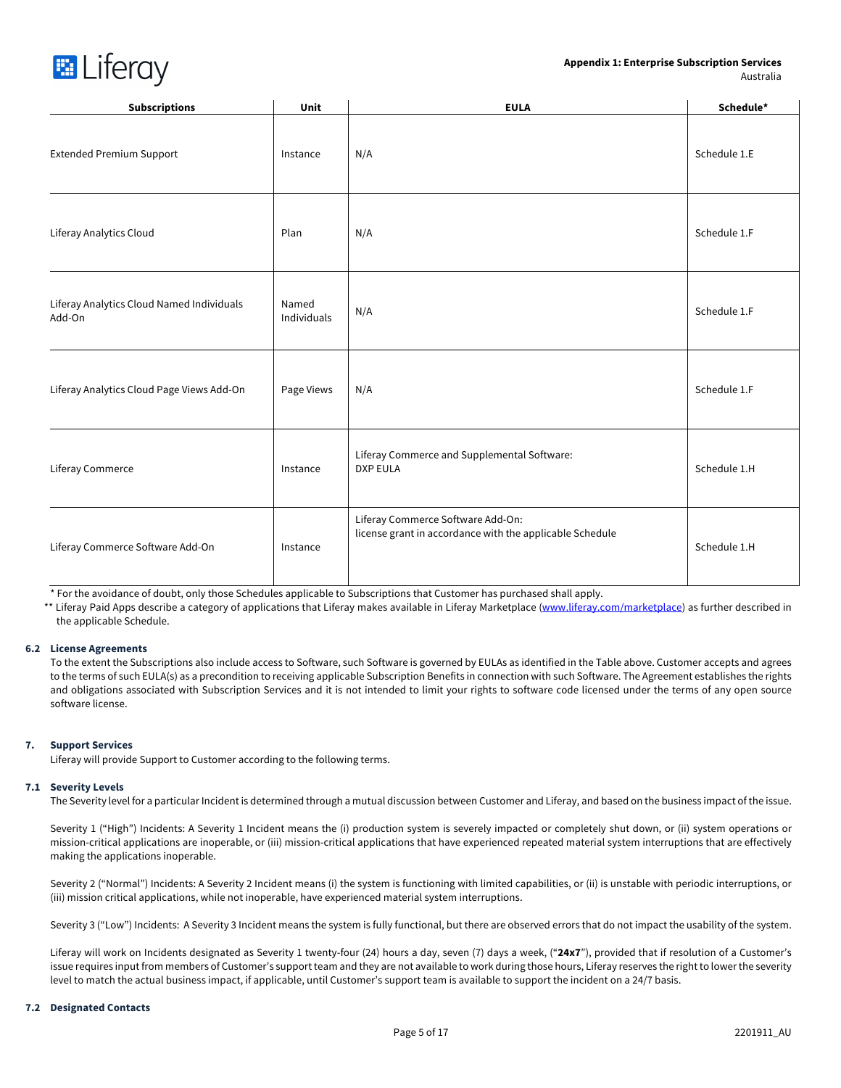## **Appendix 1: Enterprise Subscription Services**  Australia



| <b>Subscriptions</b>                                | Unit                 | <b>EULA</b>                                                                                   | Schedule*    |
|-----------------------------------------------------|----------------------|-----------------------------------------------------------------------------------------------|--------------|
| <b>Extended Premium Support</b>                     | Instance             | N/A                                                                                           | Schedule 1.E |
| Liferay Analytics Cloud                             | Plan                 | N/A                                                                                           | Schedule 1.F |
| Liferay Analytics Cloud Named Individuals<br>Add-On | Named<br>Individuals | N/A                                                                                           | Schedule 1.F |
| Liferay Analytics Cloud Page Views Add-On           | Page Views           | N/A                                                                                           | Schedule 1.F |
| Liferay Commerce                                    | Instance             | Liferay Commerce and Supplemental Software:<br><b>DXP EULA</b>                                | Schedule 1.H |
| Liferay Commerce Software Add-On                    | Instance             | Liferay Commerce Software Add-On:<br>license grant in accordance with the applicable Schedule | Schedule 1.H |

\* For the avoidance of doubt, only those Schedules applicable to Subscriptions that Customer has purchased shall apply.

\*\* Liferay Paid Apps describe a category of applications that Liferay makes available in Liferay Marketplace (www.liferay.com/marketplace) as further described in the applicable Schedule.

# **6.2 License Agreements**

To the extent the Subscriptions also include access to Software, such Software is governed by EULAs as identified in the Table above. Customer accepts and agrees to the terms of such EULA(s) as a precondition to receiving applicable Subscription Benefits in connection with such Software. The Agreement establishes the rights and obligations associated with Subscription Services and it is not intended to limit your rights to software code licensed under the terms of any open source software license.

# **7. Support Services**

Liferay will provide Support to Customer according to the following terms.

# **7.1 Severity Levels**

The Severity level for a particular Incident is determined through a mutual discussion between Customer and Liferay, and based on the business impact of the issue.

Severity 1 ("High") Incidents: A Severity 1 Incident means the (i) production system is severely impacted or completely shut down, or (ii) system operations or mission-critical applications are inoperable, or (iii) mission-critical applications that have experienced repeated material system interruptions that are effectively making the applications inoperable.

Severity 2 ("Normal") Incidents: A Severity 2 Incident means (i) the system is functioning with limited capabilities, or (ii) is unstable with periodic interruptions, or (iii) mission critical applications, while not inoperable, have experienced material system interruptions.

Severity 3 ("Low") Incidents: A Severity 3 Incident means the system is fully functional, but there are observed errors that do not impact the usability of the system.

Liferay will work on Incidents designated as Severity 1 twenty-four (24) hours a day, seven (7) days a week, ("**24x7**"), provided that if resolution of a Customer's issue requires input from members of Customer's support team and they are not available to work during those hours, Liferay reserves the right to lower the severity level to match the actual business impact, if applicable, until Customer's support team is available to support the incident on a 24/7 basis.

#### **7.2 Designated Contacts**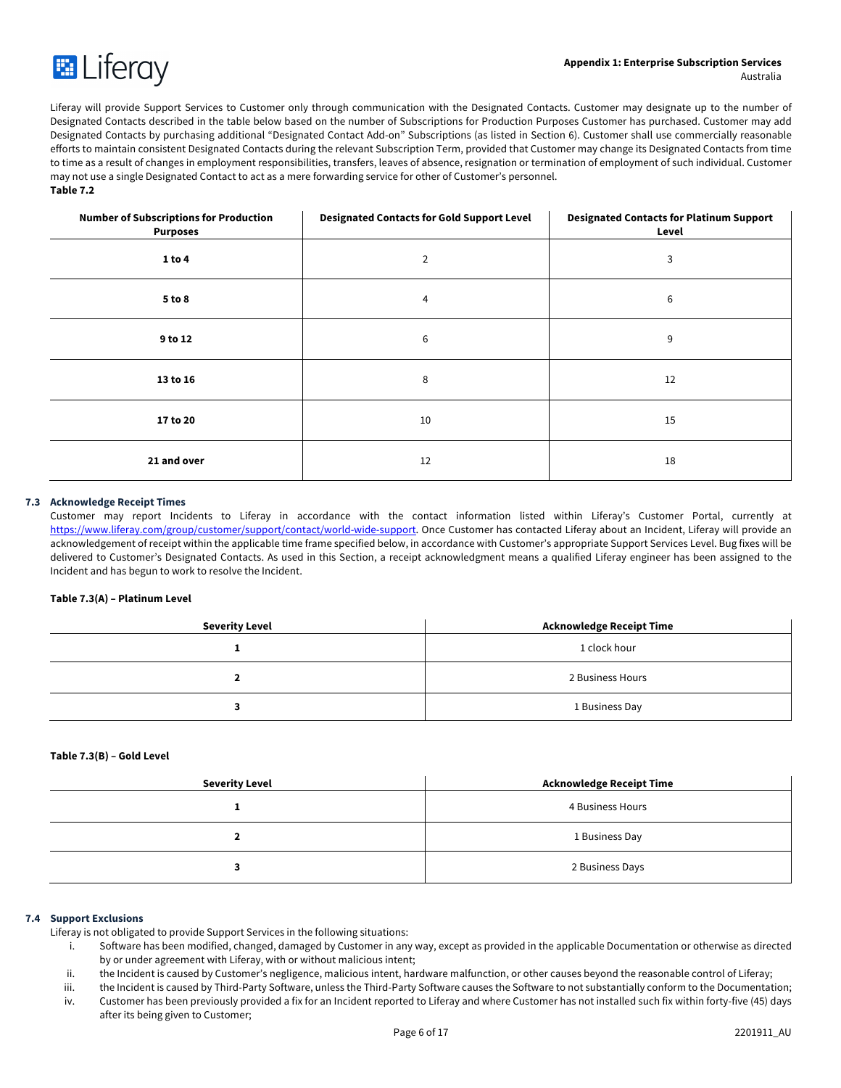

Liferay will provide Support Services to Customer only through communication with the Designated Contacts. Customer may designate up to the number of Designated Contacts described in the table below based on the number of Subscriptions for Production Purposes Customer has purchased. Customer may add Designated Contacts by purchasing additional "Designated Contact Add-on" Subscriptions (as listed in Section 6). Customer shall use commercially reasonable efforts to maintain consistent Designated Contacts during the relevant Subscription Term, provided that Customer may change its Designated Contacts from time to time as a result of changes in employment responsibilities, transfers, leaves of absence, resignation or termination of employment of such individual. Customer may not use a single Designated Contact to act as a mere forwarding service for other of Customer's personnel. **Table 7.2**

| <b>Number of Subscriptions for Production</b><br><b>Purposes</b> | <b>Designated Contacts for Gold Support Level</b> | <b>Designated Contacts for Platinum Support</b><br>Level |
|------------------------------------------------------------------|---------------------------------------------------|----------------------------------------------------------|
| 1 to 4                                                           | $\overline{2}$                                    | 3                                                        |
| 5 to 8                                                           | 4                                                 | 6                                                        |
| 9 to 12                                                          | 6                                                 | 9                                                        |
| 13 to 16                                                         | 8                                                 | 12                                                       |
| 17 to 20                                                         | 10                                                | 15                                                       |
| 21 and over                                                      | 12                                                | 18                                                       |

# **7.3 Acknowledge Receipt Times**

Customer may report Incidents to Liferay in accordance with the contact information listed within Liferay's Customer Portal, currently at https://www.liferay.com/group/customer/support/contact/world-wide-support. Once Customer has contacted Liferay about an Incident, Liferay will provide an acknowledgement of receipt within the applicable time frame specified below, in accordance with Customer's appropriate Support Services Level. Bug fixes will be delivered to Customer's Designated Contacts. As used in this Section, a receipt acknowledgment means a qualified Liferay engineer has been assigned to the Incident and has begun to work to resolve the Incident.

# **Table 7.3(A) – Platinum Level**

| <b>Severity Level</b> | <b>Acknowledge Receipt Time</b> |
|-----------------------|---------------------------------|
|                       | 1 clock hour                    |
|                       | 2 Business Hours                |
|                       | 1 Business Day                  |

# **Table 7.3(B) – Gold Level**

| <b>Severity Level</b> | <b>Acknowledge Receipt Time</b> |
|-----------------------|---------------------------------|
|                       | 4 Business Hours                |
|                       | 1 Business Day                  |
|                       | 2 Business Days                 |

#### **7.4 Support Exclusions**

Liferay is not obligated to provide Support Services in the following situations:

- i. Software has been modified, changed, damaged by Customer in any way, except as provided in the applicable Documentation or otherwise as directed by or under agreement with Liferay, with or without malicious intent;
- ii. the Incident is caused by Customer's negligence, malicious intent, hardware malfunction, or other causes beyond the reasonable control of Liferay;

iii. the Incident is caused by Third-Party Software, unless the Third-Party Software causes the Software to not substantially conform to the Documentation;

iv. Customer has been previously provided a fix for an Incident reported to Liferay and where Customer has not installed such fix within forty-five (45) days after its being given to Customer;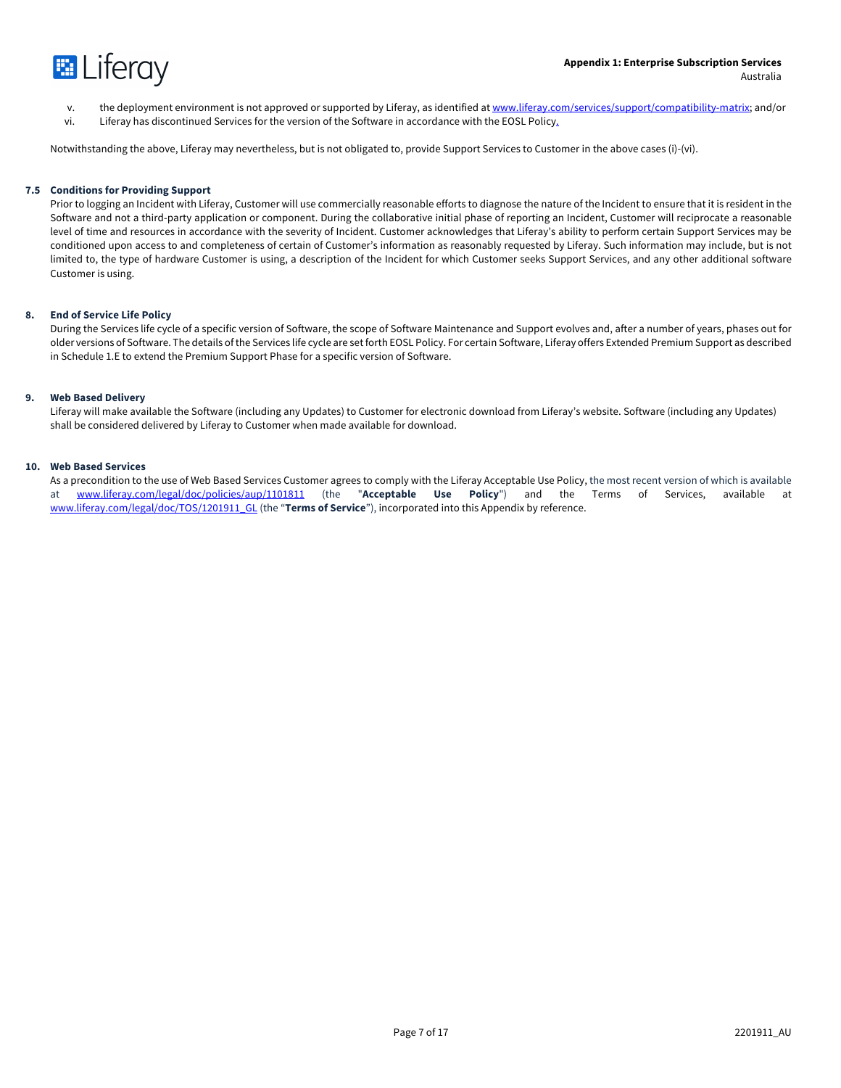

- v. the deployment environment is not approved or supported by Liferay, as identified at www.liferay.com/services/support/compatibility-matrix; and/or
- vi. Liferay has discontinued Services for the version of the Software in accordance with the EOSL Policy.

Notwithstanding the above, Liferay may nevertheless, but is not obligated to, provide Support Services to Customer in the above cases (i)-(vi).

#### **7.5 Conditions for Providing Support**

Prior to logging an Incident with Liferay, Customer will use commercially reasonable efforts to diagnose the nature of the Incident to ensure that it is resident in the Software and not a third-party application or component. During the collaborative initial phase of reporting an Incident, Customer will reciprocate a reasonable level of time and resources in accordance with the severity of Incident. Customer acknowledges that Liferay's ability to perform certain Support Services may be conditioned upon access to and completeness of certain of Customer's information as reasonably requested by Liferay. Such information may include, but is not limited to, the type of hardware Customer is using, a description of the Incident for which Customer seeks Support Services, and any other additional software Customer is using.

#### **8. End of Service Life Policy**

During the Services life cycle of a specific version of Software, the scope of Software Maintenance and Support evolves and, after a number of years, phases out for older versions of Software. The details of the Services life cycle are set forth EOSL Policy. For certain Software, Liferay offers Extended Premium Support as described in Schedule 1.E to extend the Premium Support Phase for a specific version of Software.

#### **9. Web Based Delivery**

Liferay will make available the Software (including any Updates) to Customer for electronic download from Liferay's website. Software (including any Updates) shall be considered delivered by Liferay to Customer when made available for download.

#### **10. Web Based Services**

As a precondition to the use of Web Based Services Customer agrees to comply with the Liferay Acceptable Use Policy, the most recent version of which is available at www.liferay.com/legal/doc/policies/aup/1101811 (the "**Acceptable Use Policy**") and the Terms of Services, available at www.liferay.com/legal/doc/TOS/1201911\_GL (the "**Terms of Service**"), incorporated into this Appendix by reference.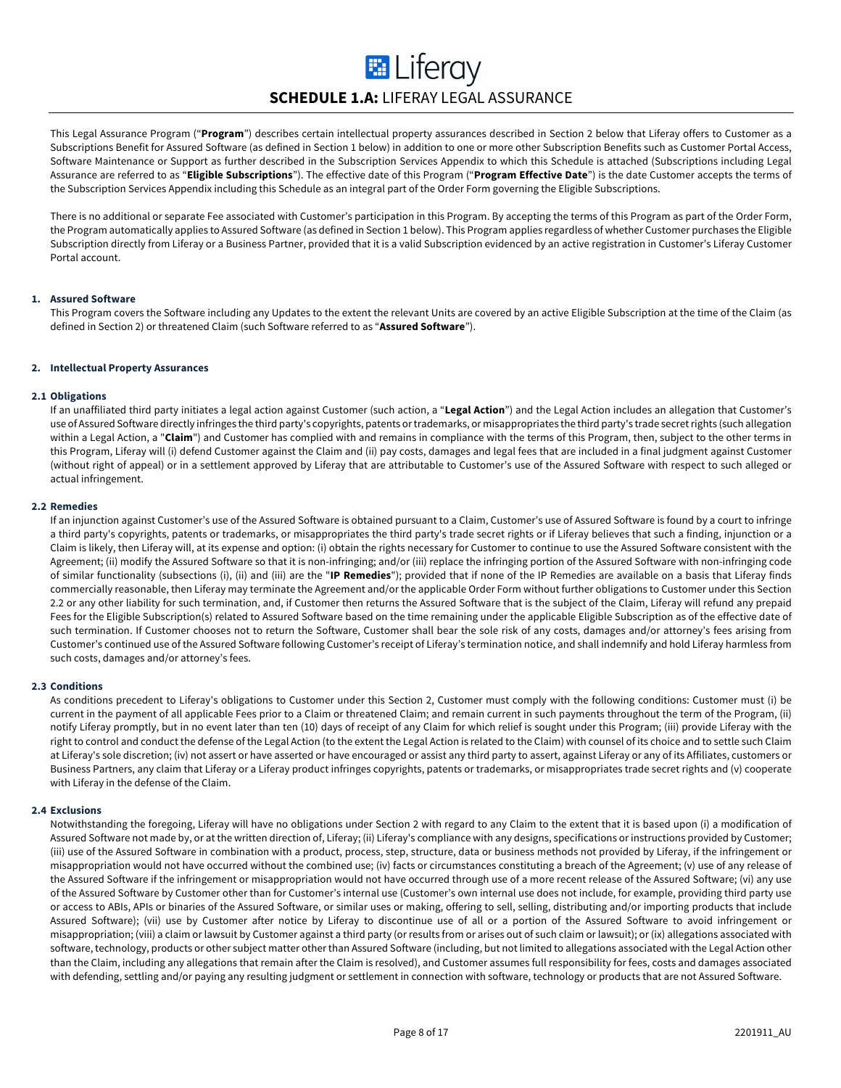# **E** Liferay **SCHEDULE 1.A:** LIFERAY LEGAL ASSURANCE

This Legal Assurance Program ("**Program**") describes certain intellectual property assurances described in Section 2 below that Liferay offers to Customer as a Subscriptions Benefit for Assured Software (as defined in Section 1 below) in addition to one or more other Subscription Benefits such as Customer Portal Access, Software Maintenance or Support as further described in the Subscription Services Appendix to which this Schedule is attached (Subscriptions including Legal Assurance are referred to as "**Eligible Subscriptions**"). The effective date of this Program ("**Program Effective Date**") is the date Customer accepts the terms of the Subscription Services Appendix including this Schedule as an integral part of the Order Form governing the Eligible Subscriptions.

There is no additional or separate Fee associated with Customer's participation in this Program. By accepting the terms of this Program as part of the Order Form, the Program automatically applies to Assured Software (as defined in Section 1 below). This Program applies regardless of whether Customer purchases the Eligible Subscription directly from Liferay or a Business Partner, provided that it is a valid Subscription evidenced by an active registration in Customer's Liferay Customer Portal account.

# **1. Assured Software**

This Program covers the Software including any Updates to the extent the relevant Units are covered by an active Eligible Subscription at the time of the Claim (as defined in Section 2) or threatened Claim (such Software referred to as "**Assured Software**").

# **2. Intellectual Property Assurances**

#### **2.1 Obligations**

If an unaffiliated third party initiates a legal action against Customer (such action, a "**Legal Action**") and the Legal Action includes an allegation that Customer's use of Assured Software directly infringes the third party's copyrights, patents or trademarks, or misappropriates the third party's trade secret rights (such allegation within a Legal Action, a "Claim") and Customer has complied with and remains in compliance with the terms of this Program, then, subject to the other terms in this Program, Liferay will (i) defend Customer against the Claim and (ii) pay costs, damages and legal fees that are included in a final judgment against Customer (without right of appeal) or in a settlement approved by Liferay that are attributable to Customer's use of the Assured Software with respect to such alleged or actual infringement.

# **2.2 Remedies**

If an injunction against Customer's use of the Assured Software is obtained pursuant to a Claim, Customer's use of Assured Software is found by a court to infringe a third party's copyrights, patents or trademarks, or misappropriates the third party's trade secret rights or if Liferay believes that such a finding, injunction or a Claim is likely, then Liferay will, at its expense and option: (i) obtain the rights necessary for Customer to continue to use the Assured Software consistent with the Agreement; (ii) modify the Assured Software so that it is non-infringing; and/or (iii) replace the infringing portion of the Assured Software with non-infringing code of similar functionality (subsections (i), (ii) and (iii) are the "**IP Remedies**"); provided that if none of the IP Remedies are available on a basis that Liferay finds commercially reasonable, then Liferay may terminate the Agreement and/or the applicable Order Form without further obligations to Customer under this Section 2.2 or any other liability for such termination, and, if Customer then returns the Assured Software that is the subject of the Claim, Liferay will refund any prepaid Fees for the Eligible Subscription(s) related to Assured Software based on the time remaining under the applicable Eligible Subscription as of the effective date of such termination. If Customer chooses not to return the Software, Customer shall bear the sole risk of any costs, damages and/or attorney's fees arising from Customer's continued use of the Assured Software following Customer's receipt of Liferay's termination notice, and shall indemnify and hold Liferay harmless from such costs, damages and/or attorney's fees.

# **2.3 Conditions**

As conditions precedent to Liferay's obligations to Customer under this Section 2, Customer must comply with the following conditions: Customer must (i) be current in the payment of all applicable Fees prior to a Claim or threatened Claim; and remain current in such payments throughout the term of the Program, (ii) notify Liferay promptly, but in no event later than ten (10) days of receipt of any Claim for which relief is sought under this Program; (iii) provide Liferay with the right to control and conduct the defense of the Legal Action (to the extent the Legal Action is related to the Claim) with counsel of its choice and to settle such Claim at Liferay's sole discretion; (iv) not assert or have asserted or have encouraged or assist any third party to assert, against Liferay or any of its Affiliates, customers or Business Partners, any claim that Liferay or a Liferay product infringes copyrights, patents or trademarks, or misappropriates trade secret rights and (v) cooperate with Liferay in the defense of the Claim.

#### **2.4 Exclusions**

Notwithstanding the foregoing, Liferay will have no obligations under Section 2 with regard to any Claim to the extent that it is based upon (i) a modification of Assured Software not made by, or at the written direction of, Liferay; (ii) Liferay's compliance with any designs, specifications or instructions provided by Customer; (iii) use of the Assured Software in combination with a product, process, step, structure, data or business methods not provided by Liferay, if the infringement or misappropriation would not have occurred without the combined use; (iv) facts or circumstances constituting a breach of the Agreement; (v) use of any release of the Assured Software if the infringement or misappropriation would not have occurred through use of a more recent release of the Assured Software; (vi) any use of the Assured Software by Customer other than for Customer's internal use (Customer's own internal use does not include, for example, providing third party use or access to ABIs, APIs or binaries of the Assured Software, or similar uses or making, offering to sell, selling, distributing and/or importing products that include Assured Software); (vii) use by Customer after notice by Liferay to discontinue use of all or a portion of the Assured Software to avoid infringement or misappropriation; (viii) a claim or lawsuit by Customer against a third party (or results from or arises out of such claim or lawsuit); or (ix) allegations associated with software, technology, products or other subject matter other than Assured Software (including, but not limited to allegations associated with the Legal Action other than the Claim, including any allegations that remain after the Claim is resolved), and Customer assumes full responsibility for fees, costs and damages associated with defending, settling and/or paying any resulting judgment or settlement in connection with software, technology or products that are not Assured Software.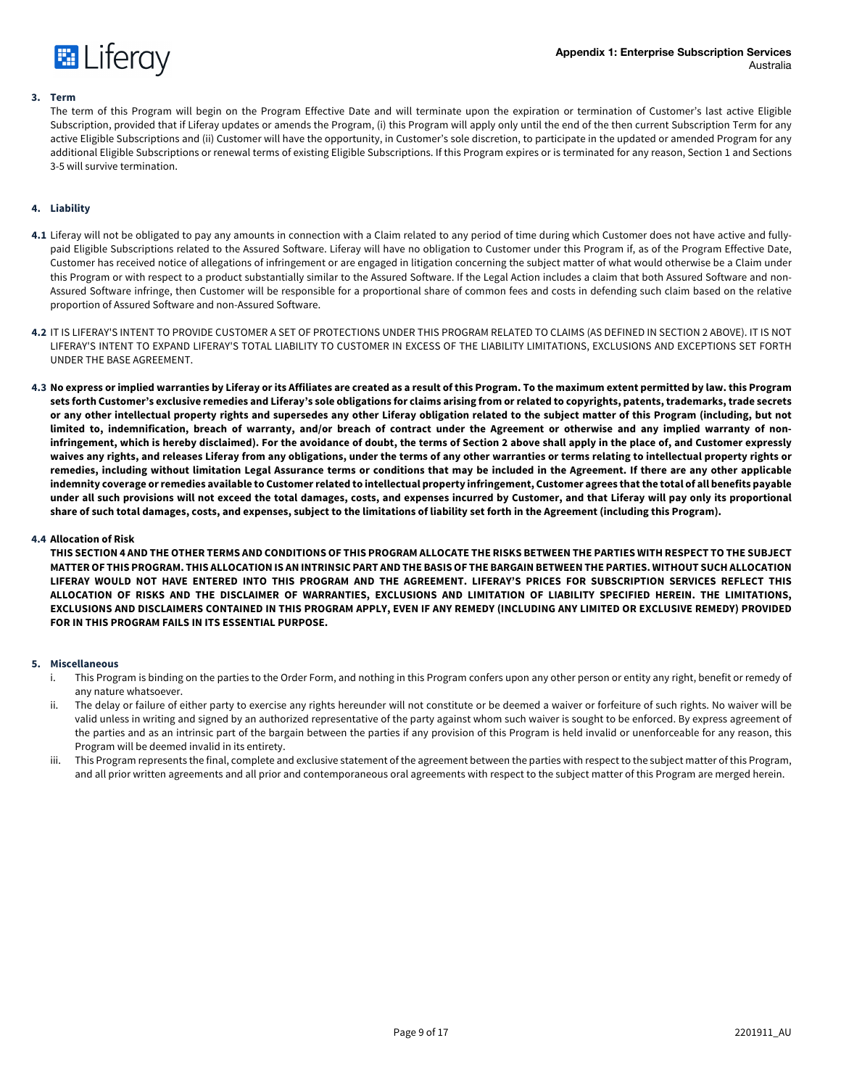

#### **3. Term**

The term of this Program will begin on the Program Effective Date and will terminate upon the expiration or termination of Customer's last active Eligible Subscription, provided that if Liferay updates or amends the Program, (i) this Program will apply only until the end of the then current Subscription Term for any active Eligible Subscriptions and (ii) Customer will have the opportunity, in Customer's sole discretion, to participate in the updated or amended Program for any additional Eligible Subscriptions or renewal terms of existing Eligible Subscriptions. If this Program expires or is terminated for any reason, Section 1 and Sections 3-5 will survive termination.

# **4. Liability**

- **4.1** Liferay will not be obligated to pay any amounts in connection with a Claim related to any period of time during which Customer does not have active and fullypaid Eligible Subscriptions related to the Assured Software. Liferay will have no obligation to Customer under this Program if, as of the Program Effective Date, Customer has received notice of allegations of infringement or are engaged in litigation concerning the subject matter of what would otherwise be a Claim under this Program or with respect to a product substantially similar to the Assured Software. If the Legal Action includes a claim that both Assured Software and non-Assured Software infringe, then Customer will be responsible for a proportional share of common fees and costs in defending such claim based on the relative proportion of Assured Software and non-Assured Software.
- **4.2** IT IS LIFERAY'S INTENT TO PROVIDE CUSTOMER A SET OF PROTECTIONS UNDER THIS PROGRAM RELATED TO CLAIMS (AS DEFINED IN SECTION 2 ABOVE). IT IS NOT LIFERAY'S INTENT TO EXPAND LIFERAY'S TOTAL LIABILITY TO CUSTOMER IN EXCESS OF THE LIABILITY LIMITATIONS, EXCLUSIONS AND EXCEPTIONS SET FORTH UNDER THE BASE AGREEMENT.
- **4.3 No express or implied warranties by Liferay or its Affiliates are created as a result of this Program. To the maximum extent permitted by law. this Program sets forth Customer's exclusive remedies and Liferay's sole obligations for claims arising from or related to copyrights, patents, trademarks, trade secrets or any other intellectual property rights and supersedes any other Liferay obligation related to the subject matter of this Program (including, but not limited to, indemnification, breach of warranty, and/or breach of contract under the Agreement or otherwise and any implied warranty of noninfringement, which is hereby disclaimed). For the avoidance of doubt, the terms of Section 2 above shall apply in the place of, and Customer expressly waives any rights, and releases Liferay from any obligations, under the terms of any other warranties or terms relating to intellectual property rights or remedies, including without limitation Legal Assurance terms or conditions that may be included in the Agreement. If there are any other applicable indemnity coverage or remedies available to Customer related to intellectual property infringement, Customer agrees that the total of all benefits payable under all such provisions will not exceed the total damages, costs, and expenses incurred by Customer, and that Liferay will pay only its proportional share of such total damages, costs, and expenses, subject to the limitations of liability set forth in the Agreement (including this Program).**

#### **4.4 Allocation of Risk**

**THIS SECTION 4 AND THE OTHER TERMS AND CONDITIONS OF THIS PROGRAM ALLOCATE THE RISKS BETWEEN THE PARTIES WITH RESPECT TO THE SUBJECT MATTER OF THIS PROGRAM. THIS ALLOCATION IS AN INTRINSIC PART AND THE BASIS OF THE BARGAIN BETWEEN THE PARTIES. WITHOUT SUCH ALLOCATION LIFERAY WOULD NOT HAVE ENTERED INTO THIS PROGRAM AND THE AGREEMENT. LIFERAY'S PRICES FOR SUBSCRIPTION SERVICES REFLECT THIS ALLOCATION OF RISKS AND THE DISCLAIMER OF WARRANTIES, EXCLUSIONS AND LIMITATION OF LIABILITY SPECIFIED HEREIN. THE LIMITATIONS, EXCLUSIONS AND DISCLAIMERS CONTAINED IN THIS PROGRAM APPLY, EVEN IF ANY REMEDY (INCLUDING ANY LIMITED OR EXCLUSIVE REMEDY) PROVIDED FOR IN THIS PROGRAM FAILS IN ITS ESSENTIAL PURPOSE.**

### **5. Miscellaneous**

- i. This Program is binding on the parties to the Order Form, and nothing in this Program confers upon any other person or entity any right, benefit or remedy of any nature whatsoever.
- ii. The delay or failure of either party to exercise any rights hereunder will not constitute or be deemed a waiver or forfeiture of such rights. No waiver will be valid unless in writing and signed by an authorized representative of the party against whom such waiver is sought to be enforced. By express agreement of the parties and as an intrinsic part of the bargain between the parties if any provision of this Program is held invalid or unenforceable for any reason, this Program will be deemed invalid in its entirety.
- iii. This Program represents the final, complete and exclusive statement of the agreement between the parties with respect to the subject matter of this Program, and all prior written agreements and all prior and contemporaneous oral agreements with respect to the subject matter of this Program are merged herein.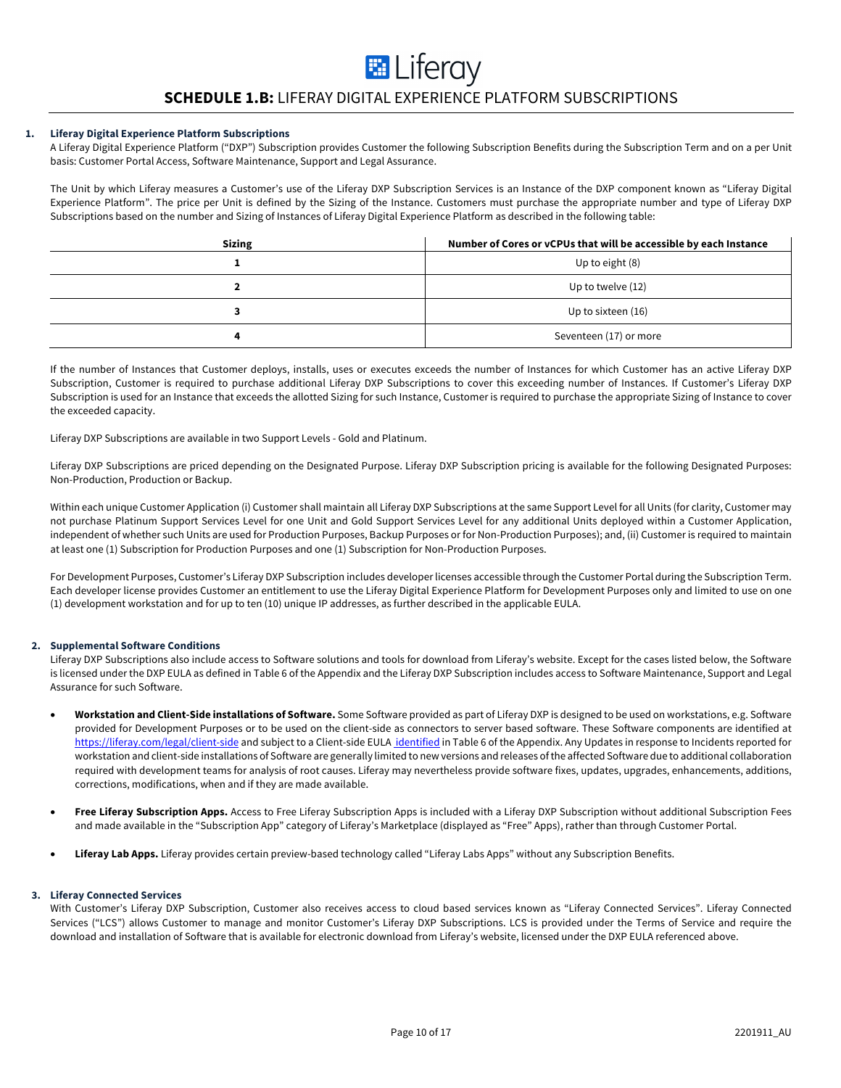# **SCHEDULE 1.B:** LIFERAY DIGITAL EXPERIENCE PLATFORM SUBSCRIPTIONS

**E** Liferay

# **1. Liferay Digital Experience Platform Subscriptions**

A Liferay Digital Experience Platform ("DXP") Subscription provides Customer the following Subscription Benefits during the Subscription Term and on a per Unit basis: Customer Portal Access, Software Maintenance, Support and Legal Assurance.

The Unit by which Liferay measures a Customer's use of the Liferay DXP Subscription Services is an Instance of the DXP component known as "Liferay Digital Experience Platform". The price per Unit is defined by the Sizing of the Instance. Customers must purchase the appropriate number and type of Liferay DXP Subscriptions based on the number and Sizing of Instances of Liferay Digital Experience Platform as described in the following table:

| <b>Sizing</b> | Number of Cores or vCPUs that will be accessible by each Instance |
|---------------|-------------------------------------------------------------------|
|               | Up to eight (8)                                                   |
|               | Up to twelve (12)                                                 |
|               | Up to sixteen (16)                                                |
|               | Seventeen (17) or more                                            |

If the number of Instances that Customer deploys, installs, uses or executes exceeds the number of Instances for which Customer has an active Liferay DXP Subscription, Customer is required to purchase additional Liferay DXP Subscriptions to cover this exceeding number of Instances. If Customer's Liferay DXP Subscription is used for an Instance that exceeds the allotted Sizing for such Instance, Customer is required to purchase the appropriate Sizing of Instance to cover the exceeded capacity.

Liferay DXP Subscriptions are available in two Support Levels - Gold and Platinum.

Liferay DXP Subscriptions are priced depending on the Designated Purpose. Liferay DXP Subscription pricing is available for the following Designated Purposes: Non-Production, Production or Backup.

Within each unique Customer Application (i) Customer shall maintain all Liferay DXP Subscriptions at the same Support Level for all Units (for clarity, Customer may not purchase Platinum Support Services Level for one Unit and Gold Support Services Level for any additional Units deployed within a Customer Application, independent of whether such Units are used for Production Purposes, Backup Purposes or for Non-Production Purposes); and, (ii) Customer is required to maintain at least one (1) Subscription for Production Purposes and one (1) Subscription for Non-Production Purposes.

For Development Purposes, Customer's Liferay DXP Subscription includes developer licenses accessible through the Customer Portal during the Subscription Term. Each developer license provides Customer an entitlement to use the Liferay Digital Experience Platform for Development Purposes only and limited to use on one (1) development workstation and for up to ten (10) unique IP addresses, as further described in the applicable EULA.

# **2. Supplemental Software Conditions**

Liferay DXP Subscriptions also include access to Software solutions and tools for download from Liferay's website. Except for the cases listed below, the Software is licensed under the DXP EULA as defined in Table 6 of the Appendix and the Liferay DXP Subscription includes access to Software Maintenance, Support and Legal Assurance for such Software.

- **Workstation and Client-Side installations of Software.** Some Software provided as part of Liferay DXP is designed to be used on workstations, e.g. Software provided for Development Purposes or to be used on the client-side as connectors to server based software. These Software components are identified at https://liferay.com/legal/client-side and subject to a Client-side EULA identified in Table 6 of the Appendix. Any Updates in response to Incidents reported for workstation and client-side installations of Software are generally limited to new versions and releases of the affected Software due to additional collaboration required with development teams for analysis of root causes. Liferay may nevertheless provide software fixes, updates, upgrades, enhancements, additions, corrections, modifications, when and if they are made available.
- **Free Liferay Subscription Apps.** Access to Free Liferay Subscription Apps is included with a Liferay DXP Subscription without additional Subscription Fees and made available in the "Subscription App" category of Liferay's Marketplace (displayed as "Free" Apps), rather than through Customer Portal.
- **Liferay Lab Apps.** Liferay provides certain preview-based technology called "Liferay Labs Apps" without any Subscription Benefits.

#### **3. Liferay Connected Services**

With Customer's Liferay DXP Subscription, Customer also receives access to cloud based services known as "Liferay Connected Services". Liferay Connected Services ("LCS") allows Customer to manage and monitor Customer's Liferay DXP Subscriptions. LCS is provided under the Terms of Service and require the download and installation of Software that is available for electronic download from Liferay's website, licensed under the DXP EULA referenced above.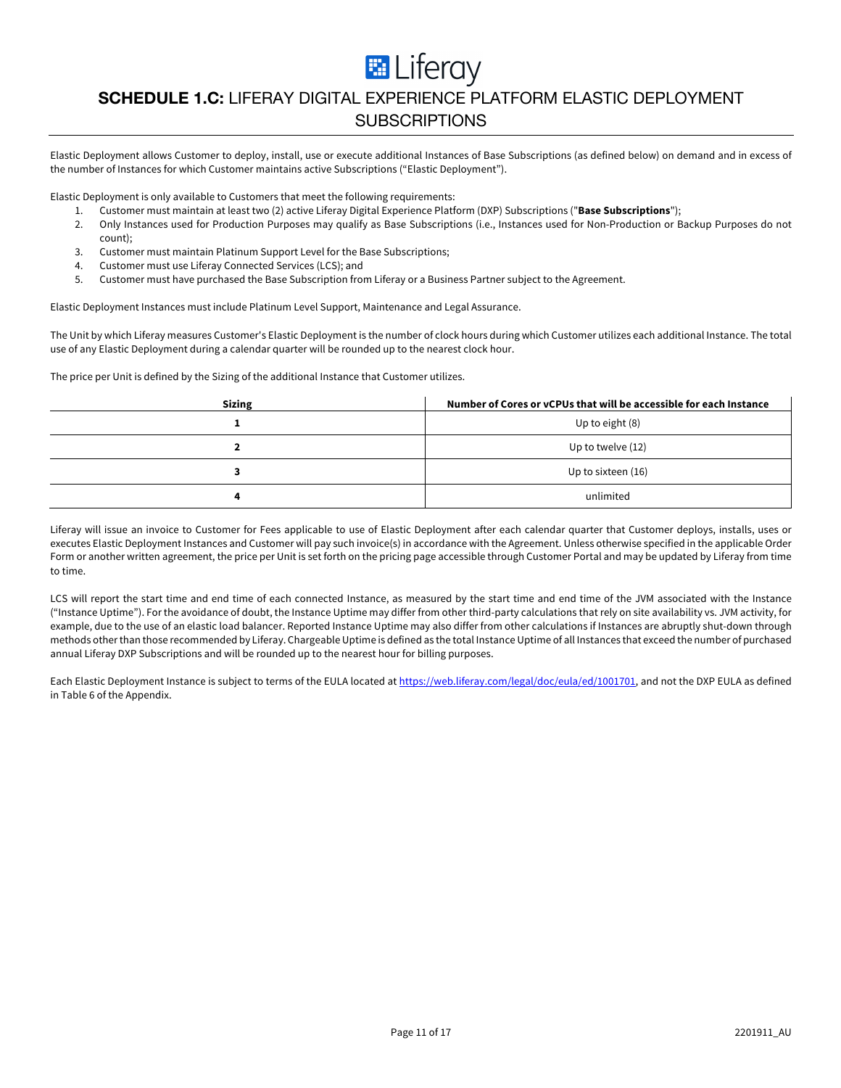**E** Liferay

# **SCHEDULE 1.C:** LIFERAY DIGITAL EXPERIENCE PLATFORM ELASTIC DEPLOYMENT **SUBSCRIPTIONS**

Elastic Deployment allows Customer to deploy, install, use or execute additional Instances of Base Subscriptions (as defined below) on demand and in excess of the number of Instances for which Customer maintains active Subscriptions ("Elastic Deployment").

Elastic Deployment is only available to Customers that meet the following requirements:

- 1. Customer must maintain at least two (2) active Liferay Digital Experience Platform (DXP) Subscriptions ("**Base Subscriptions**");
- 2. Only Instances used for Production Purposes may qualify as Base Subscriptions (i.e., Instances used for Non-Production or Backup Purposes do not count);
- 3. Customer must maintain Platinum Support Level for the Base Subscriptions;
- 4. Customer must use Liferay Connected Services (LCS); and
- 5. Customer must have purchased the Base Subscription from Liferay or a Business Partner subject to the Agreement.

Elastic Deployment Instances must include Platinum Level Support, Maintenance and Legal Assurance.

The Unit by which Liferay measures Customer's Elastic Deployment is the number of clock hours during which Customer utilizes each additional Instance. The total use of any Elastic Deployment during a calendar quarter will be rounded up to the nearest clock hour.

The price per Unit is defined by the Sizing of the additional Instance that Customer utilizes.

| <b>Sizing</b> | Number of Cores or vCPUs that will be accessible for each Instance |
|---------------|--------------------------------------------------------------------|
|               | Up to eight (8)                                                    |
|               | Up to twelve (12)                                                  |
|               | Up to sixteen (16)                                                 |
|               | unlimited                                                          |

Liferay will issue an invoice to Customer for Fees applicable to use of Elastic Deployment after each calendar quarter that Customer deploys, installs, uses or executes Elastic Deployment Instances and Customer will pay such invoice(s) in accordance with the Agreement. Unless otherwise specified in the applicable Order Form or another written agreement, the price per Unit is set forth on the pricing page accessible through Customer Portal and may be updated by Liferay from time to time.

LCS will report the start time and end time of each connected Instance, as measured by the start time and end time of the JVM associated with the Instance ("Instance Uptime"). For the avoidance of doubt, the Instance Uptime may differ from other third-party calculations that rely on site availability vs. JVM activity, for example, due to the use of an elastic load balancer. Reported Instance Uptime may also differ from other calculations if Instances are abruptly shut-down through methods other than those recommended by Liferay. Chargeable Uptime is defined as the total Instance Uptime of all Instances that exceed the number of purchased annual Liferay DXP Subscriptions and will be rounded up to the nearest hour for billing purposes.

Each Elastic Deployment Instance is subject to terms of the EULA located at https://web.liferay.com/legal/doc/eula/ed/1001701, and not the DXP EULA as defined in Table 6 of the Appendix.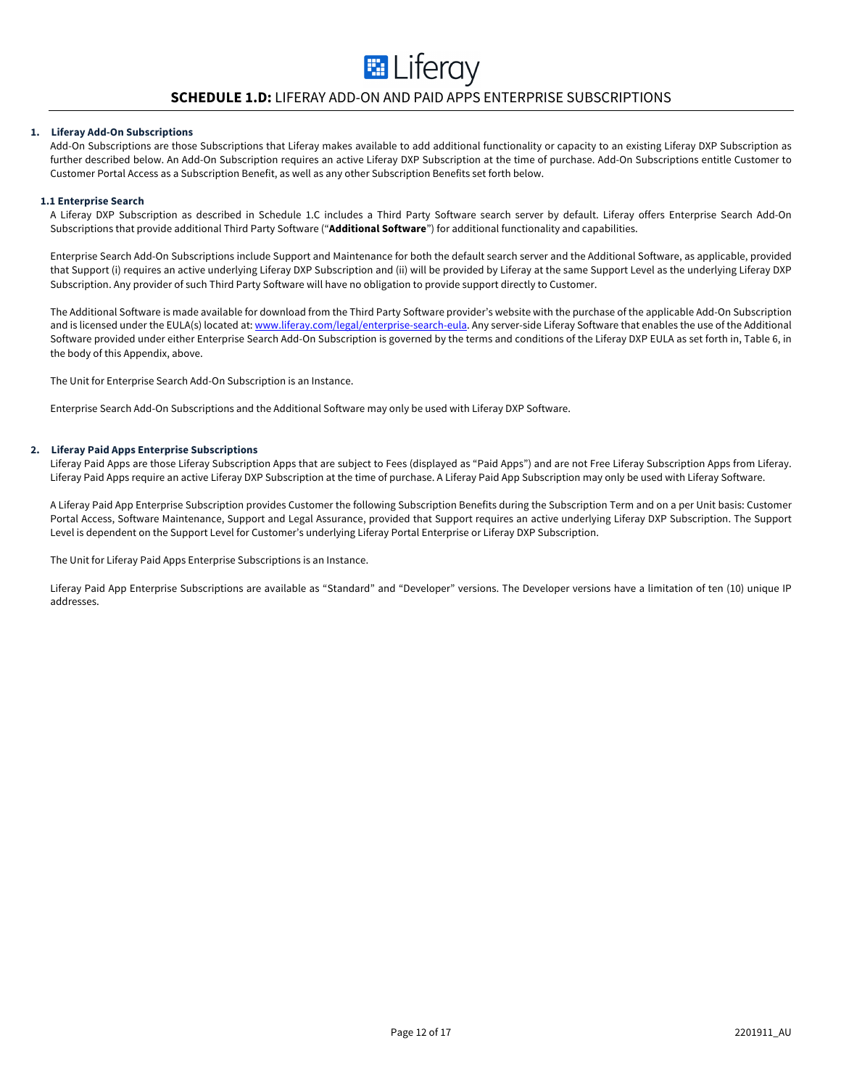# **SCHEDULE 1.D:** LIFERAY ADD-ON AND PAID APPS ENTERPRISE SUBSCRIPTIONS

**E** Liferay

#### **1. Liferay Add-On Subscriptions**

Add-On Subscriptions are those Subscriptions that Liferay makes available to add additional functionality or capacity to an existing Liferay DXP Subscription as further described below. An Add-On Subscription requires an active Liferay DXP Subscription at the time of purchase. Add-On Subscriptions entitle Customer to Customer Portal Access as a Subscription Benefit, as well as any other Subscription Benefits set forth below.

#### **1.1 Enterprise Search**

A Liferay DXP Subscription as described in Schedule 1.C includes a Third Party Software search server by default. Liferay offers Enterprise Search Add-On Subscriptions that provide additional Third Party Software ("**Additional Software**") for additional functionality and capabilities.

Enterprise Search Add-On Subscriptions include Support and Maintenance for both the default search server and the Additional Software, as applicable, provided that Support (i) requires an active underlying Liferay DXP Subscription and (ii) will be provided by Liferay at the same Support Level as the underlying Liferay DXP Subscription. Any provider of such Third Party Software will have no obligation to provide support directly to Customer.

The Additional Software is made available for download from the Third Party Software provider's website with the purchase of the applicable Add-On Subscription and is licensed under the EULA(s) located at: www.liferay.com/legal/enterprise-search-eula. Any server-side Liferay Software that enables the use of the Additional Software provided under either Enterprise Search Add-On Subscription is governed by the terms and conditions of the Liferay DXP EULA as set forth in, Table 6, in the body of this Appendix, above.

The Unit for Enterprise Search Add-On Subscription is an Instance.

Enterprise Search Add-On Subscriptions and the Additional Software may only be used with Liferay DXP Software.

#### **2. Liferay Paid Apps Enterprise Subscriptions**

Liferay Paid Apps are those Liferay Subscription Apps that are subject to Fees (displayed as "Paid Apps") and are not Free Liferay Subscription Apps from Liferay. Liferay Paid Apps require an active Liferay DXP Subscription at the time of purchase. A Liferay Paid App Subscription may only be used with Liferay Software.

A Liferay Paid App Enterprise Subscription provides Customer the following Subscription Benefits during the Subscription Term and on a per Unit basis: Customer Portal Access, Software Maintenance, Support and Legal Assurance, provided that Support requires an active underlying Liferay DXP Subscription. The Support Level is dependent on the Support Level for Customer's underlying Liferay Portal Enterprise or Liferay DXP Subscription.

The Unit for Liferay Paid Apps Enterprise Subscriptions is an Instance.

Liferay Paid App Enterprise Subscriptions are available as "Standard" and "Developer" versions. The Developer versions have a limitation of ten (10) unique IP addresses.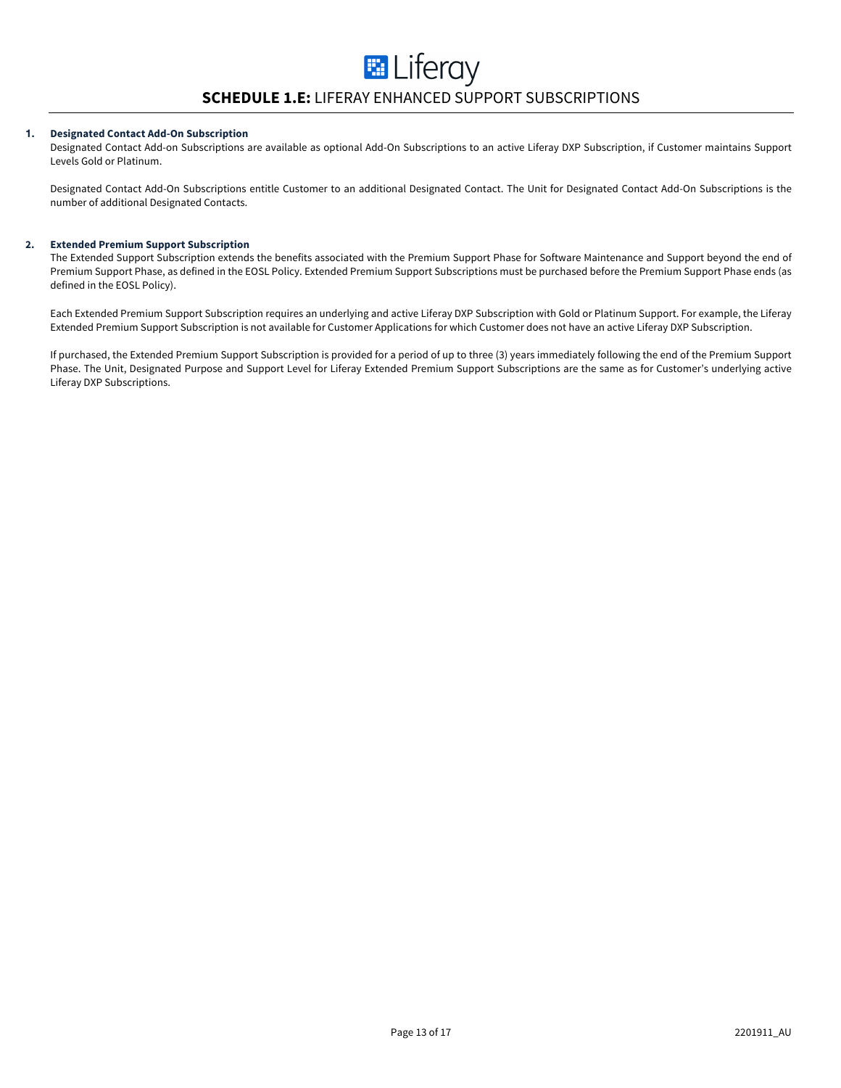# **1. Designated Contact Add-On Subscription**

Designated Contact Add-on Subscriptions are available as optional Add-On Subscriptions to an active Liferay DXP Subscription, if Customer maintains Support Levels Gold or Platinum.

Designated Contact Add-On Subscriptions entitle Customer to an additional Designated Contact. The Unit for Designated Contact Add-On Subscriptions is the number of additional Designated Contacts.

# **2. Extended Premium Support Subscription**

The Extended Support Subscription extends the benefits associated with the Premium Support Phase for Software Maintenance and Support beyond the end of Premium Support Phase, as defined in the EOSL Policy. Extended Premium Support Subscriptions must be purchased before the Premium Support Phase ends (as defined in the EOSL Policy).

Each Extended Premium Support Subscription requires an underlying and active Liferay DXP Subscription with Gold or Platinum Support. For example, the Liferay Extended Premium Support Subscription is not available for Customer Applications for which Customer does not have an active Liferay DXP Subscription.

If purchased, the Extended Premium Support Subscription is provided for a period of up to three (3) years immediately following the end of the Premium Support Phase. The Unit, Designated Purpose and Support Level for Liferay Extended Premium Support Subscriptions are the same as for Customer's underlying active Liferay DXP Subscriptions.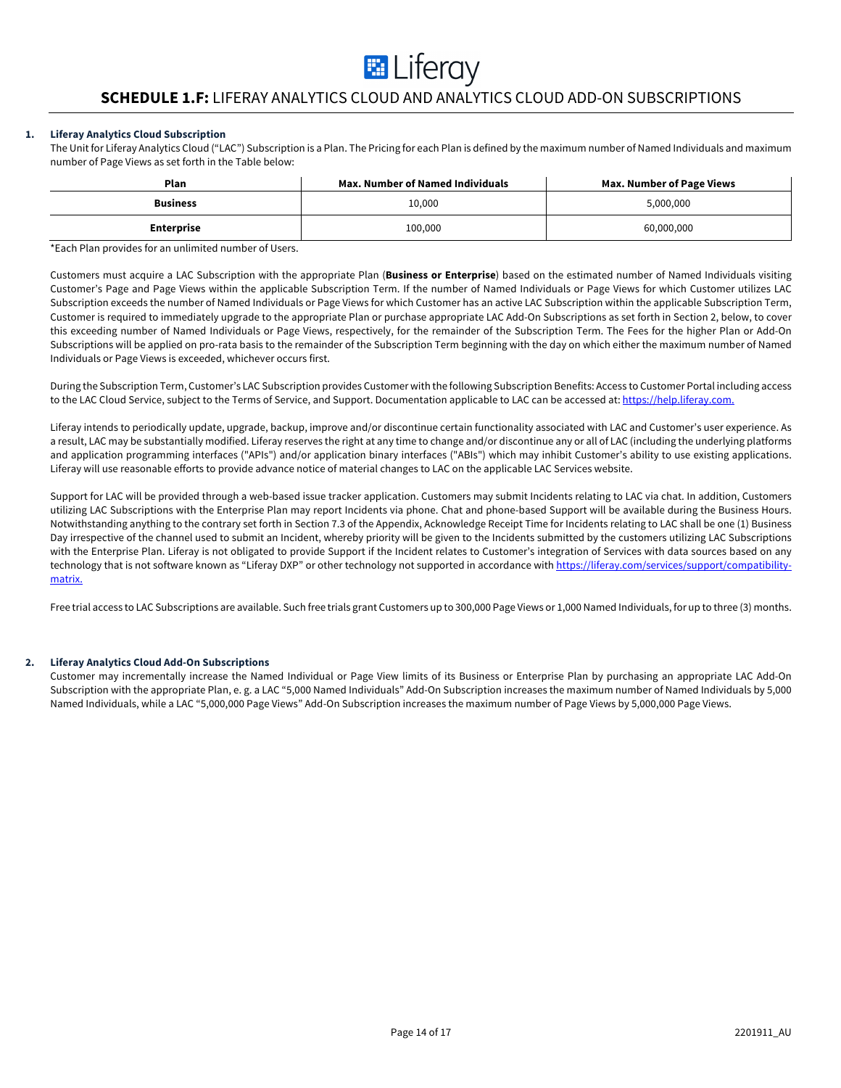# **E** Liferay

# **SCHEDULE 1.F:** LIFERAY ANALYTICS CLOUD AND ANALYTICS CLOUD ADD-ON SUBSCRIPTIONS

# **1. Liferay Analytics Cloud Subscription**

The Unit for Liferay Analytics Cloud ("LAC") Subscription is a Plan. The Pricing for each Plan is defined by the maximum number of Named Individuals and maximum number of Page Views as set forth in the Table below:

| Plan              | <b>Max. Number of Named Individuals</b> | Max. Number of Page Views |
|-------------------|-----------------------------------------|---------------------------|
| <b>Business</b>   | 10,000                                  | 5,000,000                 |
| <b>Enterprise</b> | 100,000                                 | 60,000,000                |

\*Each Plan provides for an unlimited number of Users.

Customers must acquire a LAC Subscription with the appropriate Plan (**Business or Enterprise**) based on the estimated number of Named Individuals visiting Customer's Page and Page Views within the applicable Subscription Term. If the number of Named Individuals or Page Views for which Customer utilizes LAC Subscription exceeds the number of Named Individuals or Page Views for which Customer has an active LAC Subscription within the applicable Subscription Term, Customer is required to immediately upgrade to the appropriate Plan or purchase appropriate LAC Add-On Subscriptions as set forth in Section 2, below, to cover this exceeding number of Named Individuals or Page Views, respectively, for the remainder of the Subscription Term. The Fees for the higher Plan or Add-On Subscriptions will be applied on pro-rata basis to the remainder of the Subscription Term beginning with the day on which either the maximum number of Named Individuals or Page Views is exceeded, whichever occurs first.

During the Subscription Term, Customer's LAC Subscription provides Customer with the following Subscription Benefits: Access to Customer Portal including access to the LAC Cloud Service, subject to the Terms of Service, and Support. Documentation applicable to LAC can be accessed at: https://help.liferay.com.

Liferay intends to periodically update, upgrade, backup, improve and/or discontinue certain functionality associated with LAC and Customer's user experience. As a result, LAC may be substantially modified. Liferay reserves the right at any time to change and/or discontinue any or all of LAC (including the underlying platforms and application programming interfaces ("APIs") and/or application binary interfaces ("ABIs") which may inhibit Customer's ability to use existing applications. Liferay will use reasonable efforts to provide advance notice of material changes to LAC on the applicable LAC Services website.

Support for LAC will be provided through a web-based issue tracker application. Customers may submit Incidents relating to LAC via chat. In addition, Customers utilizing LAC Subscriptions with the Enterprise Plan may report Incidents via phone. Chat and phone-based Support will be available during the Business Hours. Notwithstanding anything to the contrary set forth in Section 7.3 of the Appendix, Acknowledge Receipt Time for Incidents relating to LAC shall be one (1) Business Day irrespective of the channel used to submit an Incident, whereby priority will be given to the Incidents submitted by the customers utilizing LAC Subscriptions with the Enterprise Plan. Liferay is not obligated to provide Support if the Incident relates to Customer's integration of Services with data sources based on any technology that is not software known as "Liferay DXP" or other technology not supported in accordance with https://liferay.com/services/support/compatibilitymatrix.

Free trial access to LAC Subscriptions are available. Such free trials grant Customers up to 300,000 Page Views or 1,000 Named Individuals, for up to three (3) months.

# **2. Liferay Analytics Cloud Add-On Subscriptions**

Customer may incrementally increase the Named Individual or Page View limits of its Business or Enterprise Plan by purchasing an appropriate LAC Add-On Subscription with the appropriate Plan, e. g. a LAC "5,000 Named Individuals" Add-On Subscription increases the maximum number of Named Individuals by 5,000 Named Individuals, while a LAC "5,000,000 Page Views" Add-On Subscription increases the maximum number of Page Views by 5,000,000 Page Views.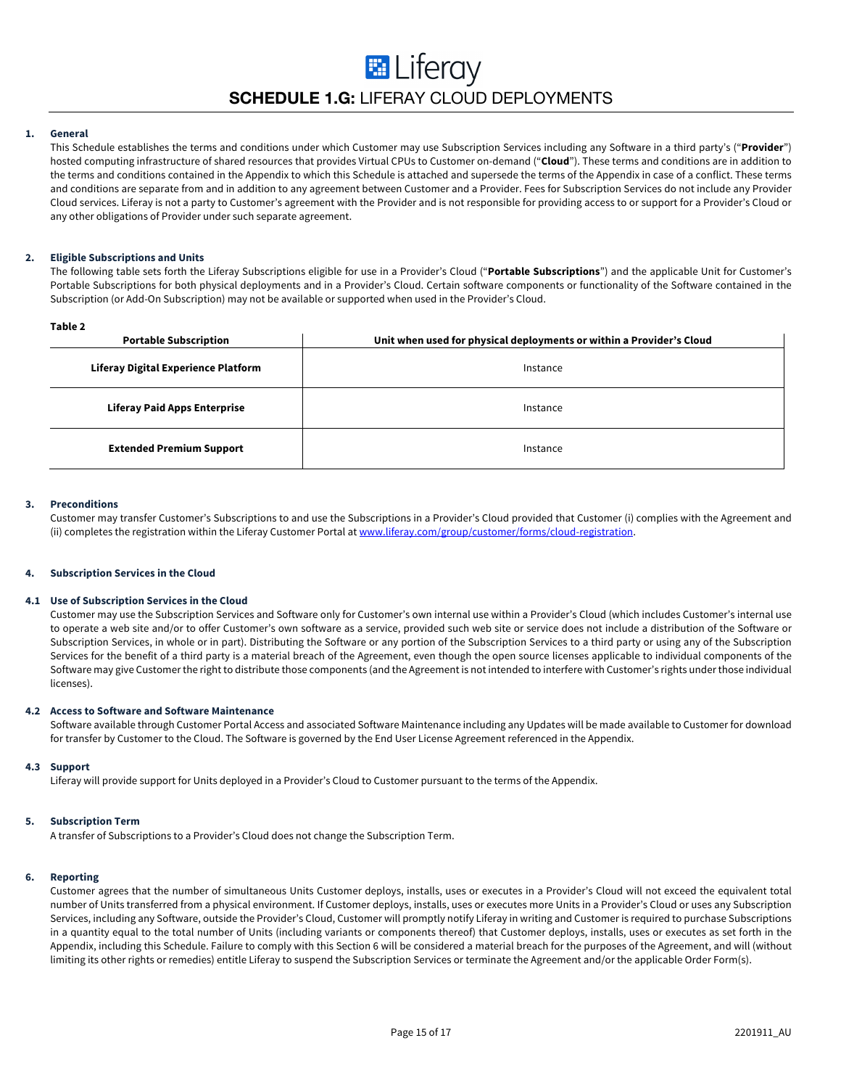# **E** Liferay **SCHEDULE 1.G:** LIFERAY CLOUD DEPLOYMENTS

# **1. General**

This Schedule establishes the terms and conditions under which Customer may use Subscription Services including any Software in a third party's ("**Provider**") hosted computing infrastructure of shared resources that provides Virtual CPUs to Customer on-demand ("**Cloud**"). These terms and conditions are in addition to the terms and conditions contained in the Appendix to which this Schedule is attached and supersede the terms of the Appendix in case of a conflict. These terms and conditions are separate from and in addition to any agreement between Customer and a Provider. Fees for Subscription Services do not include any Provider Cloud services. Liferay is not a party to Customer's agreement with the Provider and is not responsible for providing access to or support for a Provider's Cloud or any other obligations of Provider under such separate agreement.

# **2. Eligible Subscriptions and Units**

The following table sets forth the Liferay Subscriptions eligible for use in a Provider's Cloud ("**Portable Subscriptions**") and the applicable Unit for Customer's Portable Subscriptions for both physical deployments and in a Provider's Cloud. Certain software components or functionality of the Software contained in the Subscription (or Add-On Subscription) may not be available or supported when used in the Provider's Cloud.

| ۰,<br>×<br>۰, |  |
|---------------|--|
|---------------|--|

| .<br><b>Portable Subscription</b>   | Unit when used for physical deployments or within a Provider's Cloud |  |
|-------------------------------------|----------------------------------------------------------------------|--|
| Liferay Digital Experience Platform | Instance                                                             |  |
| <b>Liferay Paid Apps Enterprise</b> | Instance                                                             |  |
| <b>Extended Premium Support</b>     | Instance                                                             |  |

#### **3. Preconditions**

Customer may transfer Customer's Subscriptions to and use the Subscriptions in a Provider's Cloud provided that Customer (i) complies with the Agreement and (ii) completes the registration within the Liferay Customer Portal at www.liferay.com/group/customer/forms/cloud-registration.

#### **4. Subscription Services in the Cloud**

#### **4.1 Use of Subscription Services in the Cloud**

Customer may use the Subscription Services and Software only for Customer's own internal use within a Provider's Cloud (which includes Customer's internal use to operate a web site and/or to offer Customer's own software as a service, provided such web site or service does not include a distribution of the Software or Subscription Services, in whole or in part). Distributing the Software or any portion of the Subscription Services to a third party or using any of the Subscription Services for the benefit of a third party is a material breach of the Agreement, even though the open source licenses applicable to individual components of the Software may give Customer the right to distribute those components (and the Agreement is not intended to interfere with Customer's rights under those individual licenses).

#### **4.2 Access to Software and Software Maintenance**

Software available through Customer Portal Access and associated Software Maintenance including any Updates will be made available to Customer for download for transfer by Customer to the Cloud. The Software is governed by the End User License Agreement referenced in the Appendix.

#### **4.3 Support**

Liferay will provide support for Units deployed in a Provider's Cloud to Customer pursuant to the terms of the Appendix.

#### **5. Subscription Term**

A transfer of Subscriptions to a Provider's Cloud does not change the Subscription Term.

#### **6. Reporting**

Customer agrees that the number of simultaneous Units Customer deploys, installs, uses or executes in a Provider's Cloud will not exceed the equivalent total number of Units transferred from a physical environment. If Customer deploys, installs, uses or executes more Units in a Provider's Cloud or uses any Subscription Services, including any Software, outside the Provider's Cloud, Customer will promptly notify Liferay in writing and Customer is required to purchase Subscriptions in a quantity equal to the total number of Units (including variants or components thereof) that Customer deploys, installs, uses or executes as set forth in the Appendix, including this Schedule. Failure to comply with this Section 6 will be considered a material breach for the purposes of the Agreement, and will (without limiting its other rights or remedies) entitle Liferay to suspend the Subscription Services or terminate the Agreement and/or the applicable Order Form(s).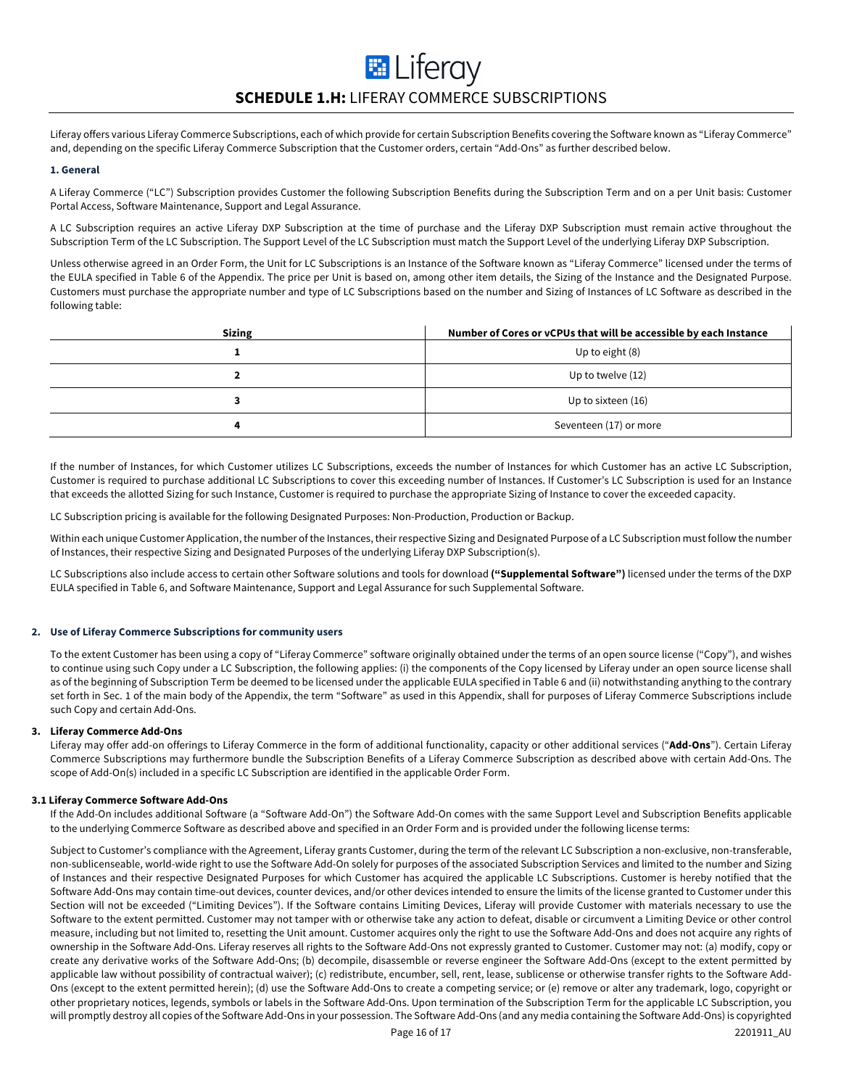# **E** Liferay **SCHEDULE 1.H:** LIFERAY COMMERCE SUBSCRIPTIONS

Liferay offers various Liferay Commerce Subscriptions, each of which provide for certain Subscription Benefits covering the Software known as "Liferay Commerce" and, depending on the specific Liferay Commerce Subscription that the Customer orders, certain "Add-Ons" as further described below.

#### **1. General**

A Liferay Commerce ("LC") Subscription provides Customer the following Subscription Benefits during the Subscription Term and on a per Unit basis: Customer Portal Access, Software Maintenance, Support and Legal Assurance.

A LC Subscription requires an active Liferay DXP Subscription at the time of purchase and the Liferay DXP Subscription must remain active throughout the Subscription Term of the LC Subscription. The Support Level of the LC Subscription must match the Support Level of the underlying Liferay DXP Subscription.

Unless otherwise agreed in an Order Form, the Unit for LC Subscriptions is an Instance of the Software known as "Liferay Commerce" licensed under the terms of the EULA specified in Table 6 of the Appendix. The price per Unit is based on, among other item details, the Sizing of the Instance and the Designated Purpose. Customers must purchase the appropriate number and type of LC Subscriptions based on the number and Sizing of Instances of LC Software as described in the following table:

| <b>Sizing</b> | Number of Cores or vCPUs that will be accessible by each Instance |
|---------------|-------------------------------------------------------------------|
|               | Up to eight (8)                                                   |
|               | Up to twelve (12)                                                 |
|               | Up to sixteen (16)                                                |
| д             | Seventeen (17) or more                                            |

If the number of Instances, for which Customer utilizes LC Subscriptions, exceeds the number of Instances for which Customer has an active LC Subscription, Customer is required to purchase additional LC Subscriptions to cover this exceeding number of Instances. If Customer's LC Subscription is used for an Instance that exceeds the allotted Sizing for such Instance, Customer is required to purchase the appropriate Sizing of Instance to cover the exceeded capacity.

LC Subscription pricing is available for the following Designated Purposes: Non-Production, Production or Backup.

Within each unique Customer Application, the number of the Instances, their respective Sizing and Designated Purpose of a LC Subscription must follow the number of Instances, their respective Sizing and Designated Purposes of the underlying Liferay DXP Subscription(s).

LC Subscriptions also include access to certain other Software solutions and tools for download **("Supplemental Software")** licensed under the terms of the DXP EULA specified in Table 6, and Software Maintenance, Support and Legal Assurance for such Supplemental Software.

## **2. Use of Liferay Commerce Subscriptions for community users**

To the extent Customer has been using a copy of "Liferay Commerce" software originally obtained under the terms of an open source license ("Copy"), and wishes to continue using such Copy under a LC Subscription, the following applies: (i) the components of the Copy licensed by Liferay under an open source license shall as of the beginning of Subscription Term be deemed to be licensed under the applicable EULA specified in Table 6 and (ii) notwithstanding anything to the contrary set forth in Sec. 1 of the main body of the Appendix, the term "Software" as used in this Appendix, shall for purposes of Liferay Commerce Subscriptions include such Copy and certain Add-Ons.

### **3. Liferay Commerce Add-Ons**

Liferay may offer add-on offerings to Liferay Commerce in the form of additional functionality, capacity or other additional services ("**Add-Ons**"). Certain Liferay Commerce Subscriptions may furthermore bundle the Subscription Benefits of a Liferay Commerce Subscription as described above with certain Add-Ons. The scope of Add-On(s) included in a specific LC Subscription are identified in the applicable Order Form.

# **3.1 Liferay Commerce Software Add-Ons**

If the Add-On includes additional Software (a "Software Add-On") the Software Add-On comes with the same Support Level and Subscription Benefits applicable to the underlying Commerce Software as described above and specified in an Order Form and is provided under the following license terms:

Subject to Customer's compliance with the Agreement, Liferay grants Customer, during the term of the relevant LC Subscription a non-exclusive, non-transferable, non-sublicenseable, world-wide right to use the Software Add-On solely for purposes of the associated Subscription Services and limited to the number and Sizing of Instances and their respective Designated Purposes for which Customer has acquired the applicable LC Subscriptions. Customer is hereby notified that the Software Add-Ons may contain time-out devices, counter devices, and/or other devices intended to ensure the limits of the license granted to Customer under this Section will not be exceeded ("Limiting Devices"). If the Software contains Limiting Devices, Liferay will provide Customer with materials necessary to use the Software to the extent permitted. Customer may not tamper with or otherwise take any action to defeat, disable or circumvent a Limiting Device or other control measure, including but not limited to, resetting the Unit amount. Customer acquires only the right to use the Software Add-Ons and does not acquire any rights of ownership in the Software Add-Ons. Liferay reserves all rights to the Software Add-Ons not expressly granted to Customer. Customer may not: (a) modify, copy or create any derivative works of the Software Add-Ons; (b) decompile, disassemble or reverse engineer the Software Add-Ons (except to the extent permitted by applicable law without possibility of contractual waiver); (c) redistribute, encumber, sell, rent, lease, sublicense or otherwise transfer rights to the Software Add-Ons (except to the extent permitted herein); (d) use the Software Add-Ons to create a competing service; or (e) remove or alter any trademark, logo, copyright or other proprietary notices, legends, symbols or labels in the Software Add-Ons. Upon termination of the Subscription Term for the applicable LC Subscription, you will promptly destroy all copies of the Software Add-Ons in your possession. The Software Add-Ons (and any media containing the Software Add-Ons) is copyrighted